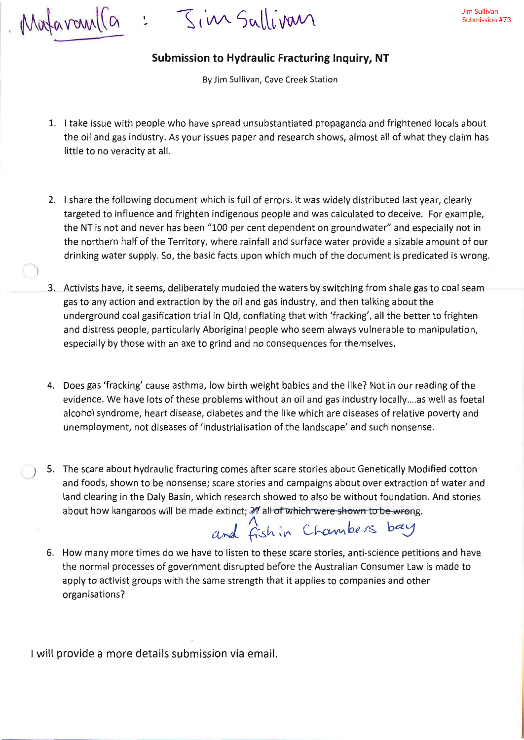afaran(a

 $S$ *i* in Salli van

## Submission to Hydraulic Fracturing Inquiry, NT

By Jim Sullivan, Cave Creek Station

- 1. I take issue with people who have spread unsubstantiated propaganda and frightened locals about the oil and gas industry. As your issues paper and research shows, almost all of what they claim has little to no veracity at all.
- 2. I share the following document which is full of errors. lt was widely distributed last year, clearly targeted to influence and frighten indigenous people and was calculated to deceive. For example, the NT is not and never has been "100 per cent dependent on groundwater" and especially not in the northern half of the Territory, where rainfall and surface water provide a sizable amount of our drinking water supply. So, the basic facts upon which much of the document is predicated is wrong.
- 3. Activists have, it seems, deliberately muddied the waters by switching from shale gas to coal seam gas to any action and extraction by the oil and gas industry, and then talking about the underground coal gasificatíon tríal in Qld, conflating that with 'fracking', all the better to frighten and distress people, particularly Aboriginal people who seem always vulnerable to manipulation, especially by those with an axe to grind and no consequences for themselves.
- 4. Does gas 'fracking' cause asthma, low birth weight babies and the like? Not in our reading of the evidence. We have lots of these problems without an oil and gas industry locally.,,,as well as foetal alcohol syndrome, heart disease, diabetes and the like which are diseases of relative poverty and unemployment, not diseases of 'índustrialisation of the landscape' and such nonsense.
- 5. The scare about hydraulic fracturing comes after scare stories about Genetically Modified cotton and foods, shown to be nonsense; scare stories and campaigns about over extraction of water and land clearing in the Daly Basin, which research showed to also be without foundation. And stories about how kangaroos will be made extinct; ?? all of which were shown to be wrong.<br> $and$   $\hat{f}$ sh in Chambers bay

6. How many more times do we have to listen to these scare stories, anti-science petitions and have the normal processes of government disrupted before the Australian Consumer Law is made to apply to activist groups with the same strength that it applies to companies and other organisations?

<sup>I</sup>will provide a more details submission via email.